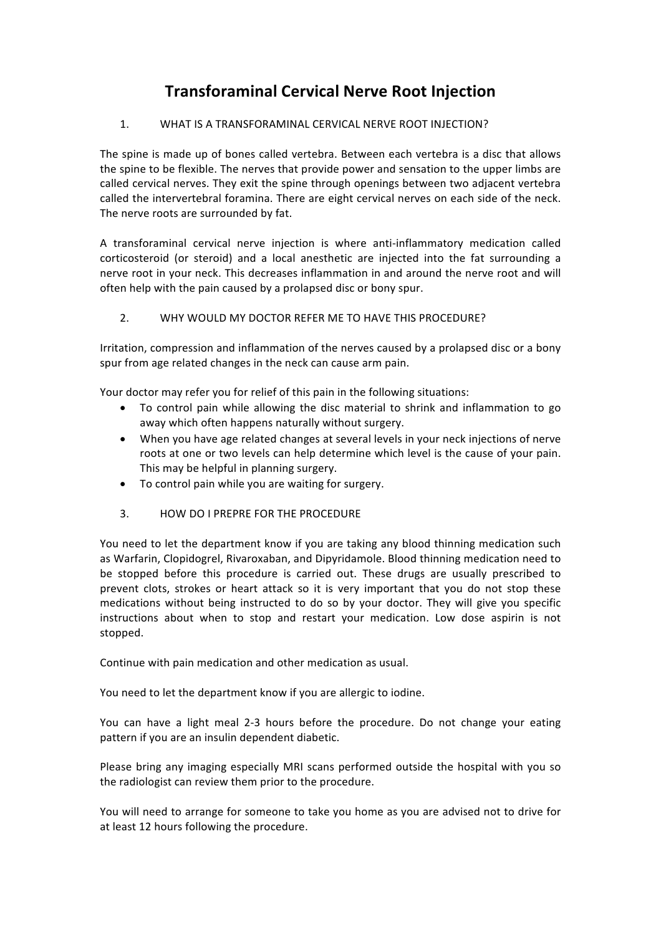# **Transforaminal Cervical Nerve Root Injection**

### 1. WHAT IS A TRANSFORAMINAL CERVICAL NERVE ROOT INJECTION?

The spine is made up of bones called vertebra. Between each vertebra is a disc that allows the spine to be flexible. The nerves that provide power and sensation to the upper limbs are called cervical nerves. They exit the spine through openings between two adiacent vertebra called the intervertebral foramina. There are eight cervical nerves on each side of the neck. The nerve roots are surrounded by fat.

A transforaminal cervical nerve injection is where anti-inflammatory medication called corticosteroid (or steroid) and a local anesthetic are injected into the fat surrounding a nerve root in your neck. This decreases inflammation in and around the nerve root and will often help with the pain caused by a prolapsed disc or bony spur.

## 2. WHY WOULD MY DOCTOR REFER ME TO HAVE THIS PROCEDURE?

Irritation, compression and inflammation of the nerves caused by a prolapsed disc or a bony spur from age related changes in the neck can cause arm pain.

Your doctor may refer you for relief of this pain in the following situations:

- To control pain while allowing the disc material to shrink and inflammation to go away which often happens naturally without surgery.
- When you have age related changes at several levels in your neck injections of nerve roots at one or two levels can help determine which level is the cause of your pain. This may be helpful in planning surgery.
- To control pain while you are waiting for surgery.
- 3. HOW DO I PREPRE FOR THE PROCEDURE

You need to let the department know if you are taking any blood thinning medication such as Warfarin, Clopidogrel, Rivaroxaban, and Dipyridamole. Blood thinning medication need to be stopped before this procedure is carried out. These drugs are usually prescribed to prevent clots, strokes or heart attack so it is very important that you do not stop these medications without being instructed to do so by your doctor. They will give you specific instructions about when to stop and restart your medication. Low dose aspirin is not stopped.

Continue with pain medication and other medication as usual.

You need to let the department know if you are allergic to iodine.

You can have a light meal 2-3 hours before the procedure. Do not change your eating pattern if you are an insulin dependent diabetic.

Please bring any imaging especially MRI scans performed outside the hospital with you so the radiologist can review them prior to the procedure.

You will need to arrange for someone to take you home as you are advised not to drive for at least 12 hours following the procedure.